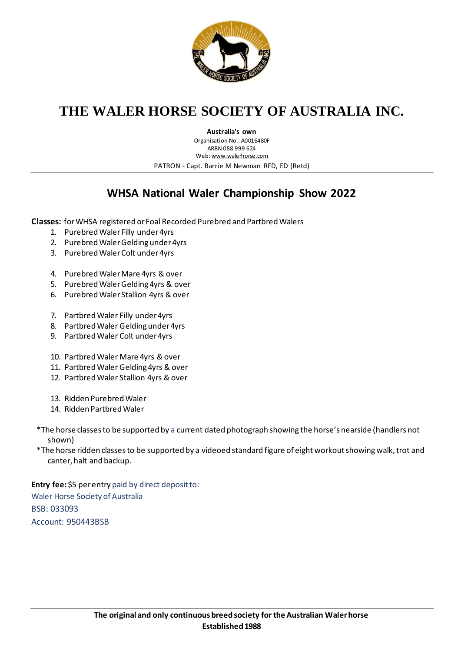

## **THE WALER HORSE SOCIETY OF AUSTRALIA INC.**

**Australia's own**

Organisation No.: A0016480F ARBN 088 999 624 Web[: www.walerhorse.com](http://www.walerhorse.com/) PATRON - Capt. Barrie M Newman RFD, ED (Retd)

## **WHSA National Waler Championship Show 2022**

**Classes:** for WHSA registered or Foal Recorded Purebred and Partbred Walers

- 1. Purebred Waler Filly under 4yrs
- 2. Purebred Waler Gelding under 4yrs
- 3. Purebred Waler Colt under 4yrs
- 4. Purebred Waler Mare 4yrs & over
- 5. Purebred Waler Gelding 4yrs & over
- 6. Purebred Waler Stallion 4yrs & over
- 7. Partbred Waler Filly under 4yrs
- 8. Partbred Waler Gelding under 4yrs
- 9. Partbred Waler Colt under 4yrs
- 10. Partbred Waler Mare 4yrs & over
- 11. Partbred Waler Gelding 4yrs & over
- 12. Partbred Waler Stallion 4yrs & over
- 13. Ridden Purebred Waler
- 14. Ridden Partbred Waler
- \*The horse classes to be supported by a current dated photograph showing the horse's nearside (handlers not shown)
- \*The horse ridden classes to be supported by a videoed standard figure of eight workout showing walk, trot and canter, halt and backup.

**Entry fee:** \$5 per entry paid by direct deposit to: Waler Horse Society of Australia BSB: 033093 Account: 950443BSB